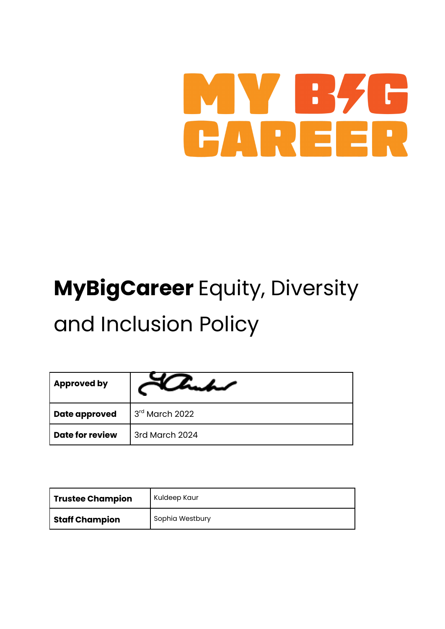## MY B CAREER

# **MyBigCareer** Equity, Diversity

### and Inclusion Policy

| <b>Approved by</b>     |                  |
|------------------------|------------------|
| <b>Date approved</b>   | $3rd$ March 2022 |
| <b>Date for review</b> | 3rd March 2024   |

| <b>Trustee Champion</b> | Kuldeep Kaur    |
|-------------------------|-----------------|
| <b>Staff Champion</b>   | Sophia Westbury |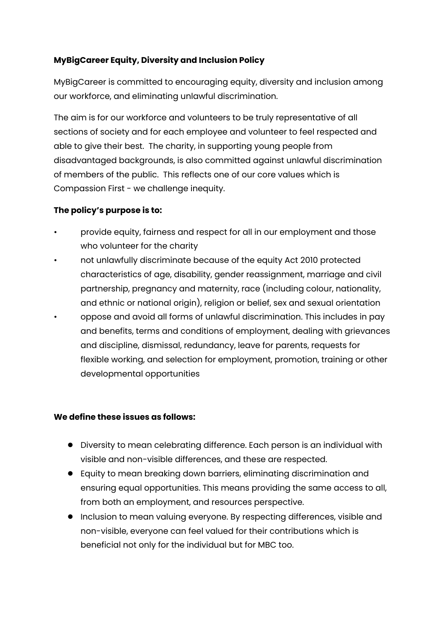#### **MyBigCareer Equity, Diversity and Inclusion Policy**

MyBigCareer is committed to encouraging equity, diversity and inclusion among our workforce, and eliminating unlawful discrimination.

The aim is for our workforce and volunteers to be truly representative of all sections of society and for each employee and volunteer to feel respected and able to give their best. The charity, in supporting young people from disadvantaged backgrounds, is also committed against unlawful discrimination of members of the public. This reflects one of our core values which is Compassion First - we challenge inequity.

#### **The policy's purpose is to:**

- provide equity, fairness and respect for all in our employment and those who volunteer for the charity
- not unlawfully discriminate because of the equity Act 2010 protected characteristics of age, disability, gender reassignment, marriage and civil partnership, pregnancy and maternity, race (including colour, nationality, and ethnic or national origin), religion or belief, sex and sexual orientation
- oppose and avoid all forms of unlawful discrimination. This includes in pay and benefits, terms and conditions of employment, dealing with grievances and discipline, dismissal, redundancy, leave for parents, requests for flexible working, and selection for employment, promotion, training or other developmental opportunities

#### **We define these issues as follows:**

- Diversity to mean celebrating difference. Each person is an individual with visible and non-visible differences, and these are respected.
- Equity to mean breaking down barriers, eliminating discrimination and ensuring equal opportunities. This means providing the same access to all, from both an employment, and resources perspective.
- Inclusion to mean valuing everyone. By respecting differences, visible and non-visible, everyone can feel valued for their contributions which is beneficial not only for the individual but for MBC too.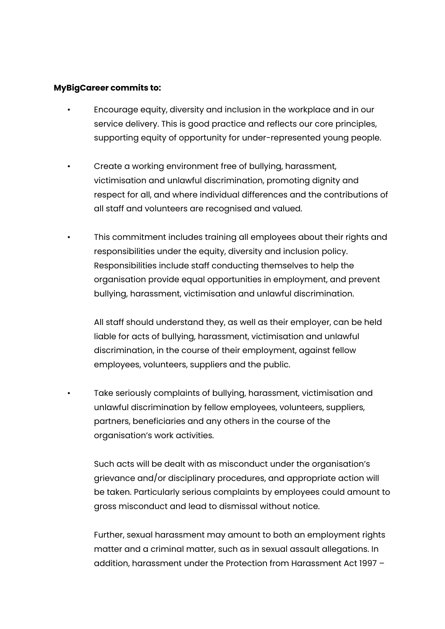#### **MyBigCareer commits to:**

- Encourage equity, diversity and inclusion in the workplace and in our service delivery. This is good practice and reflects our core principles, supporting equity of opportunity for under-represented young people.
- Create a working environment free of bullying, harassment, victimisation and unlawful discrimination, promoting dignity and respect for all, and where individual differences and the contributions of all staff and volunteers are recognised and valued.
	- This commitment includes training all employees about their rights and responsibilities under the equity, diversity and inclusion policy. Responsibilities include staff conducting themselves to help the organisation provide equal opportunities in employment, and prevent bullying, harassment, victimisation and unlawful discrimination.

All staff should understand they, as well as their employer, can be held liable for acts of bullying, harassment, victimisation and unlawful discrimination, in the course of their employment, against fellow employees, volunteers, suppliers and the public.

• Take seriously complaints of bullying, harassment, victimisation and unlawful discrimination by fellow employees, volunteers, suppliers, partners, beneficiaries and any others in the course of the organisation's work activities.

Such acts will be dealt with as misconduct under the organisation's grievance and/or disciplinary procedures, and appropriate action will be taken. Particularly serious complaints by employees could amount to gross misconduct and lead to dismissal without notice.

Further, sexual harassment may amount to both an employment rights matter and a criminal matter, such as in sexual assault allegations. In addition, harassment under the Protection from Harassment Act 1997 –